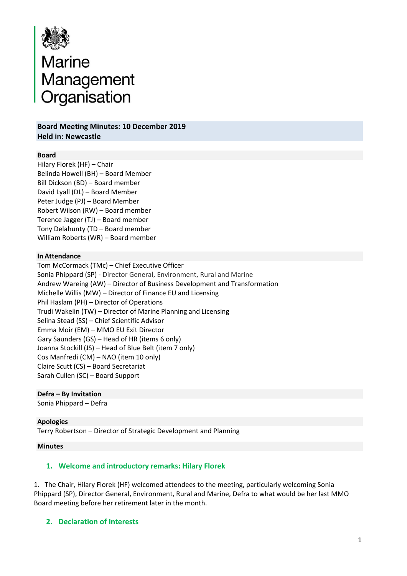

# Marine<br>Management<br>Organisation Organisation

**Board Meeting Minutes: 10 December 2019 Held in: Newcastle**

#### **Board**

Hilary Florek (HF) – Chair Belinda Howell (BH) – Board Member Bill Dickson (BD) – Board member David Lyall (DL) – Board Member Peter Judge (PJ) – Board Member Robert Wilson (RW) – Board member Terence Jagger (TJ) – Board member Tony Delahunty (TD – Board member William Roberts (WR) – Board member

#### **In Attendance**

Tom McCormack (TMc) – Chief Executive Officer Sonia Phippard (SP) - Director General, Environment, Rural and Marine Andrew Wareing (AW) – Director of Business Development and Transformation Michelle Willis (MW) – Director of Finance EU and Licensing Phil Haslam (PH) – Director of Operations Trudi Wakelin (TW) – Director of Marine Planning and Licensing Selina Stead (SS) – Chief Scientific Advisor Emma Moir (EM) – MMO EU Exit Director Gary Saunders (GS) – Head of HR (items 6 only) Joanna Stockill (JS) – Head of Blue Belt (item 7 only) Cos Manfredi (CM) – NAO (item 10 only) Claire Scutt (CS) – Board Secretariat Sarah Cullen (SC) – Board Support

## **Defra – By Invitation**

Sonia Phippard – Defra

#### **Apologies**

Terry Robertson – Director of Strategic Development and Planning

#### **Minutes**

#### **1. Welcome and introductory remarks: Hilary Florek**

1. The Chair, Hilary Florek (HF) welcomed attendees to the meeting, particularly welcoming Sonia Phippard (SP), Director General, Environment, Rural and Marine, Defra to what would be her last MMO Board meeting before her retirement later in the month.

#### **2. Declaration of Interests**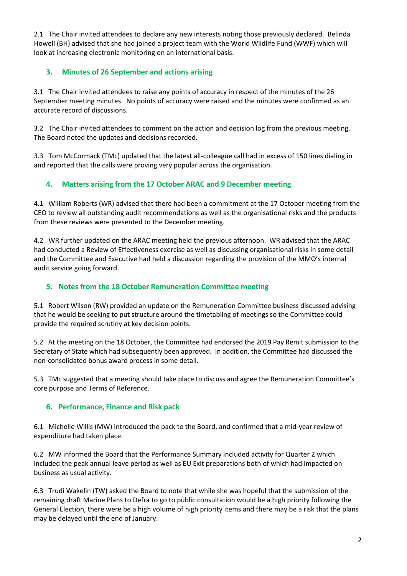2.1 The Chair invited attendees to declare any new interests noting those previously declared. Belinda Howell (BH) advised that she had joined a project team with the World Wildlife Fund (WWF) which will look at increasing electronic monitoring on an international basis.

# **3. Minutes of 26 September and actions arising**

3.1 The Chair invited attendees to raise any points of accuracy in respect of the minutes of the 26 September meeting minutes. No points of accuracy were raised and the minutes were confirmed as an accurate record of discussions.

3.2 The Chair invited attendees to comment on the action and decision log from the previous meeting. The Board noted the updates and decisions recorded.

3.3 Tom McCormack (TMc) updated that the latest all-colleague call had in excess of 150 lines dialing in and reported that the calls were proving very popular across the organisation.

# **4. Matters arising from the 17 October ARAC and 9 December meeting**

4.1 William Roberts (WR) advised that there had been a commitment at the 17 October meeting from the CEO to review all outstanding audit recommendations as well as the organisational risks and the products from these reviews were presented to the December meeting.

4.2 WR further updated on the ARAC meeting held the previous afternoon. WR advised that the ARAC had conducted a Review of Effectiveness exercise as well as discussing organisational risks in some detail and the Committee and Executive had held a discussion regarding the provision of the MMO's internal audit service going forward.

# **5. Notes from the 18 October Remuneration Committee meeting**

5.1 Robert Wilson (RW) provided an update on the Remuneration Committee business discussed advising that he would be seeking to put structure around the timetabling of meetings so the Committee could provide the required scrutiny at key decision points.

5.2 At the meeting on the 18 October, the Committee had endorsed the 2019 Pay Remit submission to the Secretary of State which had subsequently been approved. In addition, the Committee had discussed the non-consolidated bonus award process in some detail.

5.3 TMc suggested that a meeting should take place to discuss and agree the Remuneration Committee's core purpose and Terms of Reference.

# **6. Performance, Finance and Risk pack**

6.1 Michelle Willis (MW) introduced the pack to the Board, and confirmed that a mid-year review of expenditure had taken place.

6.2 MW informed the Board that the Performance Summary included activity for Quarter 2 which included the peak annual leave period as well as EU Exit preparations both of which had impacted on business as usual activity.

6.3 Trudi Wakelin (TW) asked the Board to note that while she was hopeful that the submission of the remaining draft Marine Plans to Defra to go to public consultation would be a high priority following the General Election, there were be a high volume of high priority items and there may be a risk that the plans may be delayed until the end of January.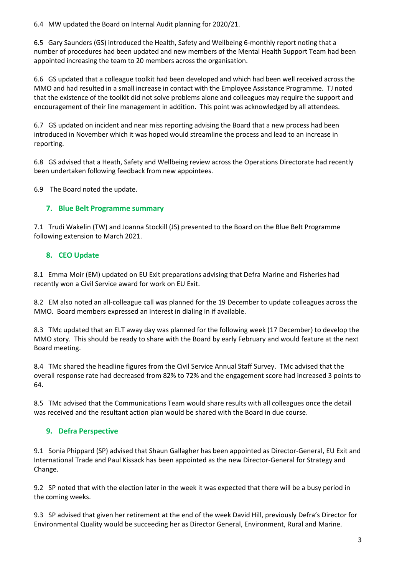6.4 MW updated the Board on Internal Audit planning for 2020/21.

6.5 Gary Saunders (GS) introduced the Health, Safety and Wellbeing 6-monthly report noting that a number of procedures had been updated and new members of the Mental Health Support Team had been appointed increasing the team to 20 members across the organisation.

6.6 GS updated that a colleague toolkit had been developed and which had been well received across the MMO and had resulted in a small increase in contact with the Employee Assistance Programme. TJ noted that the existence of the toolkit did not solve problems alone and colleagues may require the support and encouragement of their line management in addition. This point was acknowledged by all attendees.

6.7 GS updated on incident and near miss reporting advising the Board that a new process had been introduced in November which it was hoped would streamline the process and lead to an increase in reporting.

6.8 GS advised that a Heath, Safety and Wellbeing review across the Operations Directorate had recently been undertaken following feedback from new appointees.

6.9 The Board noted the update.

# **7. Blue Belt Programme summary**

7.1 Trudi Wakelin (TW) and Joanna Stockill (JS) presented to the Board on the Blue Belt Programme following extension to March 2021.

# **8. CEO Update**

8.1Emma Moir (EM) updated on EU Exit preparations advising that Defra Marine and Fisheries had recently won a Civil Service award for work on EU Exit.

8.2 EM also noted an all-colleague call was planned for the 19 December to update colleagues across the MMO. Board members expressed an interest in dialing in if available.

8.3 TMc updated that an ELT away day was planned for the following week (17 December) to develop the MMO story. This should be ready to share with the Board by early February and would feature at the next Board meeting.

8.4 TMc shared the headline figures from the Civil Service Annual Staff Survey. TMc advised that the overall response rate had decreased from 82% to 72% and the engagement score had increased 3 points to 64.

8.5 TMc advised that the Communications Team would share results with all colleagues once the detail was received and the resultant action plan would be shared with the Board in due course.

# **9. Defra Perspective**

9.1 Sonia Phippard (SP) advised that Shaun Gallagher has been appointed as Director-General, EU Exit and International Trade and Paul Kissack has been appointed as the new Director-General for Strategy and Change.

9.2 SP noted that with the election later in the week it was expected that there will be a busy period in the coming weeks.

9.3 SP advised that given her retirement at the end of the week David Hill, previously Defra's Director for Environmental Quality would be succeeding her as Director General, Environment, Rural and Marine.